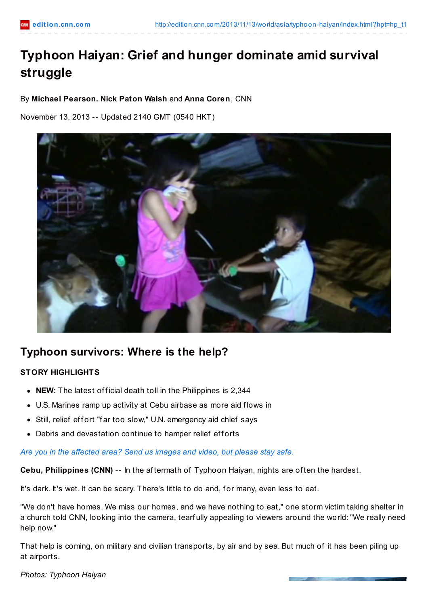# **Typhoon Haiyan: Grief and hunger dominate amid survival struggle**

# By **Michael Pearson. Nick Paton Walsh** and **Anna Coren**, CNN

November 13, 2013 -- Updated 2140 GMT (0540 HKT)



# **Typhoon survivors: Where is the help?**

# **STORY HIGHLIGHTS**

- NEW: The latest official death toll in the Philippines is 2,344
- U.S. Marines ramp up activity at Cebu airbase as more aid flows in
- Still, relief effort "far too slow," U.N. emergency aid chief says
- Debris and devastation continue to hamper relief efforts

#### *Are you in the [affected](http://ireport.cnn.com/topics/1057748) area? Send us images and video, but please stay safe.*

**Cebu, Philippines (CNN)** -- In the af termath of Typhoon Haiyan, nights are of ten the hardest.

It's dark. It's wet. It can be scary. There's little to do and, for many, even less to eat.

"We don't have homes. We miss our homes, and we have nothing to eat," one storm victim taking shelter in a church told CNN, looking into the camera, tearf ully appealing to viewers around the world: "We really need help now."

That help is coming, on military and civilian transports, by air and by sea. But much of it has been piling up at airports.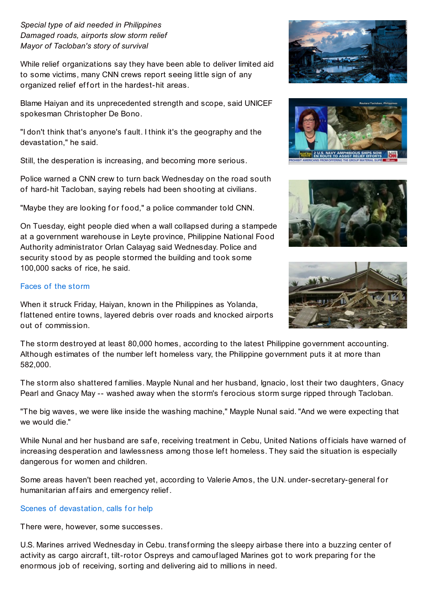## *Special type of aid needed in Philippines Damaged roads, airports slow storm relief Mayor of Tacloban's story of survival*

While relief organizations say they have been able to deliver limited aid to some victims, many CNN crews report seeing little sign of any organized relief effort in the hardest-hit areas.

Blame Haiyan and its unprecedented strength and scope, said UNICEF spokesman Christopher De Bono.

"I don't think that's anyone's f ault. I think it's the geography and the devastation," he said.

Still, the desperation is increasing, and becoming more serious.

Police warned a CNN crew to turn back Wednesday on the road south of hard-hit Tacloban, saying rebels had been shooting at civilians.

"Maybe they are looking for food," a police commander told CNN.

On Tuesday, eight people died when a wall collapsed during a stampede at a government warehouse in Leyte province, Philippine National Food Authority administrator Orlan Calayag said Wednesday. Police and security stood by as people stormed the building and took some 100,000 sacks of rice, he said.

### [Faces](http://www.cnn.com/interactive/2013/11/world/philippines-typhoon-stories/index.html?hpt=hp_c2) of the storm

When it struck Friday, Haiyan, known in the Philippines as Yolanda, f lattened entire towns, layered debris over roads and knocked airports out of commission.

The storm destroyed at least 80,000 homes, according to the latest Philippine government accounting. Although estimates of the number left homeless vary, the Philippine government puts it at more than 582,000.

The storm also shattered families. Mayple Nunal and her husband, Ignacio, lost their two daughters, Gnacy Pearl and Gnacy May -- washed away when the storm's f erocious storm surge ripped through Tacloban.

"The big waves, we were like inside the washing machine," Mayple Nunal said. "And we were expecting that we would die."

While Nunal and her husband are safe, receiving treatment in Cebu, United Nations officials have warned of increasing desperation and lawlessness among those left homeless. They said the situation is especially dangerous for women and children.

Some areas haven't been reached yet, according to Valerie Amos, the U.N. under-secretary-general for humanitarian affairs and emergency relief.

# Scenes of [devastation,](http://www.cnn.com/2013/11/12/world/asia/typhoon-haiyan-vignettes/index.html) calls for help

There were, however, some successes.

U.S. Marines arrived Wednesday in Cebu. transf orming the sleepy airbase there into a buzzing center of activity as cargo aircraft, tilt-rotor Ospreys and camouf laged Marines got to work preparing for the enormous job of receiving, sorting and delivering aid to millions in need.







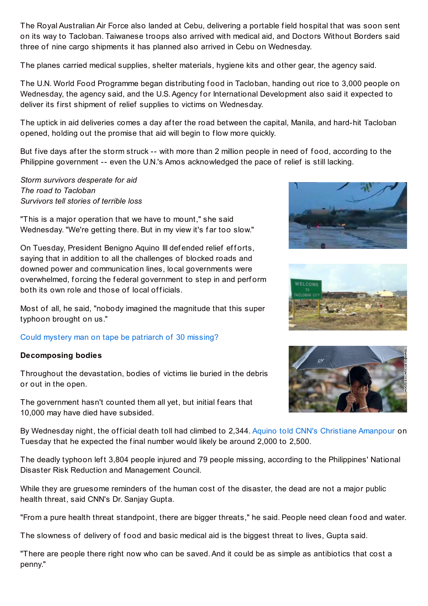The Royal Australian Air Force also landed at Cebu, delivering a portable f ield hospital that was soon sent on its way to Tacloban. Taiwanese troops also arrived with medical aid, and Doctors Without Borders said three of nine cargo shipments it has planned also arrived in Cebu on Wednesday.

The planes carried medical supplies, shelter materials, hygiene kits and other gear, the agency said.

The U.N. World Food Programme began distributing f ood in Tacloban, handing out rice to 3,000 people on Wednesday, the agency said, and the U.S. Agency for International Development also said it expected to deliver its first shipment of relief supplies to victims on Wednesday.

The uptick in aid deliveries comes a day af ter the road between the capital, Manila, and hard-hit Tacloban opened, holding out the promise that aid will begin to f low more quickly.

But five days after the storm struck -- with more than 2 million people in need of food, according to the Philippine government -- even the U.N.'s Amos acknowledged the pace of relief is still lacking.

*Storm survivors desperate for aid The road to Tacloban Survivors tell stories of terrible loss*

"This is a major operation that we have to mount," she said Wednesday. "We're getting there. But in my view it's far too slow."

On Tuesday, President Benigno Aquino III defended relief efforts, saying that in addition to all the challenges of blocked roads and downed power and communication lines, local governments were overwhelmed, forcing the federal government to step in and perform both its own role and those of local officials.

Most of all, he said, "nobody imagined the magnitude that this super typhoon brought on us."

# Could mystery man on tape be [patriarch](http://www.cnn.com/2013/11/13/world/asia/typhoon-tacloban-30-missing-found/index.html) of 30 missing?

#### **Decomposing bodies**

Throughout the devastation, bodies of victims lie buried in the debris or out in the open.

The government hasn't counted them all yet, but initial fears that 10,000 may have died have subsided.







By Wednesday night, the official death toll had climbed to 2,344. Aquino told CNN's [Christiane](http://amanpour.blogs.cnn.com/2013/11/12/typhoon-death-estimates-too-much-president-aquino-of-the-philippines-tells-amanpour/) Amanpour on Tuesday that he expected the final number would likely be around 2,000 to 2,500.

The deadly typhoon left 3,804 people injured and 79 people missing, according to the Philippines' National Disaster Risk Reduction and Management Council.

While they are gruesome reminders of the human cost of the disaster, the dead are not a major public health threat, said CNN's Dr. Sanjay Gupta.

"From a pure health threat standpoint, there are bigger threats," he said. People need clean food and water.

The slowness of delivery of food and basic medical aid is the biggest threat to lives, Gupta said.

"There are people there right now who can be saved.And it could be as simple as antibiotics that cost a penny."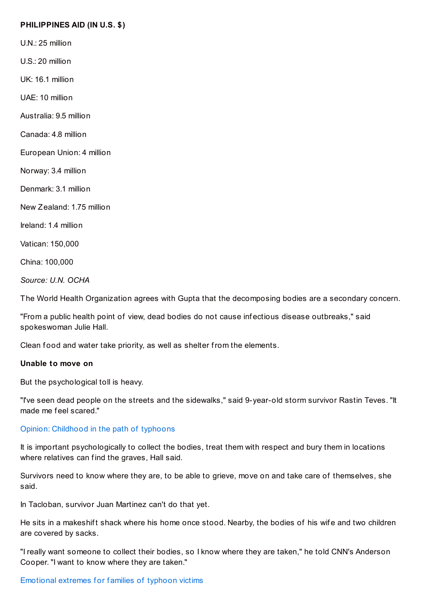#### **PHILIPPINES AID (IN U.S. \$)**

U.N.: 25 million

U.S.: 20 million

UK: 16.1 million

UAE: 10 million

Australia: 9.5 million

Canada: 4.8 million

European Union: 4 million

Norway: 3.4 million

Denmark: 3.1 million

New Zealand: 1.75 million

Ireland: 1.4 million

Vatican: 150,000

China: 100,000

*Source: U.N. OCHA*

The World Health Organization agrees with Gupta that the decomposing bodies are a secondary concern.

"From a public health point of view, dead bodies do not cause inf ectious disease outbreaks," said spokeswoman Julie Hall.

Clean food and water take priority, as well as shelter from the elements.

#### **Unable to move on**

But the psychological toll is heavy.

"I've seen dead people on the streets and the sidewalks," said 9-year-old storm survivor Rastin Teves. "It made me f eel scared."

#### Opinion: [Childhood](http://www.cnn.com/2013/11/13/opinion/brainard-growing-up-with-typhoons/index.html) in the path of typhoons

It is important psychologically to collect the bodies, treat them with respect and bury them in locations where relatives can f ind the graves, Hall said.

Survivors need to know where they are, to be able to grieve, move on and take care of themselves, she said.

In Tacloban, survivor Juan Martinez can't do that yet.

He sits in a makeshift shack where his home once stood. Nearby, the bodies of his wife and two children are covered by sacks.

"I really want someone to collect their bodies, so I know where they are taken," he told CNN's Anderson Cooper. "I want to know where they are taken."

#### [Emotional](http://www.cnn.com/2013/11/12/world/asia/typhoon-haiyan-people/index.html) extremes for families of typhoon victims